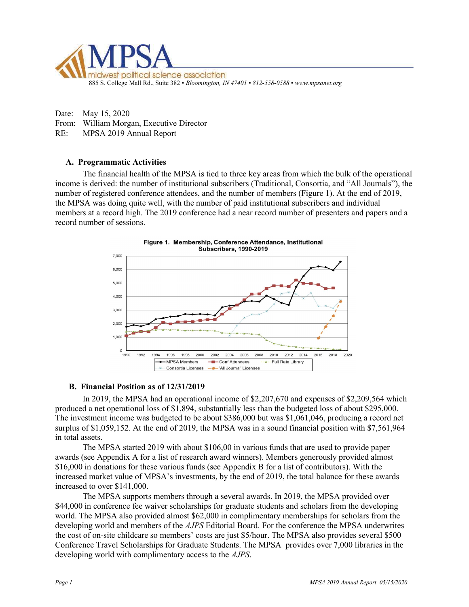

Date: May 15, 2020 From: William Morgan, Executive Director RE: MPSA 2019 Annual Report

## A. Programmatic Activities

The financial health of the MPSA is tied to three key areas from which the bulk of the operational income is derived: the number of institutional subscribers (Traditional, Consortia, and "All Journals"), the number of registered conference attendees, and the number of members (Figure 1). At the end of 2019, the MPSA was doing quite well, with the number of paid institutional subscribers and individual members at a record high. The 2019 conference had a near record number of presenters and papers and a record number of sessions.



## B. Financial Position as of 12/31/2019

 In 2019, the MPSA had an operational income of \$2,207,670 and expenses of \$2,209,564 which produced a net operational loss of \$1,894, substantially less than the budgeted loss of about \$295,000. The investment income was budgeted to be about \$386,000 but was \$1,061,046, producing a record net surplus of \$1,059,152. At the end of 2019, the MPSA was in a sound financial position with \$7,561,964 in total assets.

The MPSA started 2019 with about \$106,00 in various funds that are used to provide paper awards (see Appendix A for a list of research award winners). Members generously provided almost \$16,000 in donations for these various funds (see Appendix B for a list of contributors). With the increased market value of MPSA's investments, by the end of 2019, the total balance for these awards increased to over \$141,000.

The MPSA supports members through a several awards. In 2019, the MPSA provided over \$44,000 in conference fee waiver scholarships for graduate students and scholars from the developing world. The MPSA also provided almost \$62,000 in complimentary memberships for scholars from the developing world and members of the AJPS Editorial Board. For the conference the MPSA underwrites the cost of on-site childcare so members' costs are just \$5/hour. The MPSA also provides several \$500 Conference Travel Scholarships for Graduate Students. The MPSA provides over 7,000 libraries in the developing world with complimentary access to the AJPS.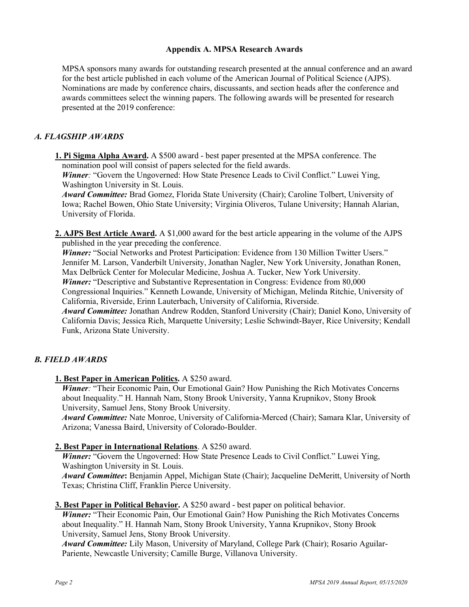## Appendix A. MPSA Research Awards

MPSA sponsors many awards for outstanding research presented at the annual conference and an award for the best article published in each volume of the American Journal of Political Science (AJPS). Nominations are made by conference chairs, discussants, and section heads after the conference and awards committees select the winning papers. The following awards will be presented for research presented at the 2019 conference:

## A. FLAGSHIP AWARDS

1. Pi Sigma Alpha Award. A \$500 award - best paper presented at the MPSA conference. The nomination pool will consist of papers selected for the field awards.

Winner: "Govern the Ungoverned: How State Presence Leads to Civil Conflict." Luwei Ying, Washington University in St. Louis.

Award Committee: Brad Gomez, Florida State University (Chair); Caroline Tolbert, University of Iowa; Rachel Bowen, Ohio State University; Virginia Oliveros, Tulane University; Hannah Alarian, University of Florida.

2. AJPS Best Article Award. A \$1,000 award for the best article appearing in the volume of the AJPS published in the year preceding the conference.

Winner: "Social Networks and Protest Participation: Evidence from 130 Million Twitter Users." Jennifer M. Larson, Vanderbilt University, Jonathan Nagler, New York University, Jonathan Ronen, Max Delbrück Center for Molecular Medicine, Joshua A. Tucker, New York University. Winner: "Descriptive and Substantive Representation in Congress: Evidence from 80,000

Congressional Inquiries." Kenneth Lowande, University of Michigan, Melinda Ritchie, University of California, Riverside, Erinn Lauterbach, University of California, Riverside.

Award Committee: Jonathan Andrew Rodden, Stanford University (Chair); Daniel Kono, University of California Davis; Jessica Rich, Marquette University; Leslie Schwindt-Bayer, Rice University; Kendall Funk, Arizona State University.

# B. FIELD AWARDS

1. Best Paper in American Politics. A \$250 award.

Winner: "Their Economic Pain, Our Emotional Gain? How Punishing the Rich Motivates Concerns about Inequality." H. Hannah Nam, Stony Brook University, Yanna Krupnikov, Stony Brook University, Samuel Jens, Stony Brook University.

Award Committee: Nate Monroe, University of California-Merced (Chair); Samara Klar, University of Arizona; Vanessa Baird, University of Colorado-Boulder.

## 2. Best Paper in International Relations. A \$250 award.

Winner: "Govern the Ungoverned: How State Presence Leads to Civil Conflict." Luwei Ying, Washington University in St. Louis.

Award Committee: Benjamin Appel, Michigan State (Chair); Jacqueline DeMeritt, University of North Texas; Christina Cliff, Franklin Pierce University.

#### 3. Best Paper in Political Behavior. A \$250 award - best paper on political behavior.

Winner: "Their Economic Pain, Our Emotional Gain? How Punishing the Rich Motivates Concerns about Inequality." H. Hannah Nam, Stony Brook University, Yanna Krupnikov, Stony Brook University, Samuel Jens, Stony Brook University.

Award Committee: Lily Mason, University of Maryland, College Park (Chair); Rosario Aguilar-Pariente, Newcastle University; Camille Burge, Villanova University.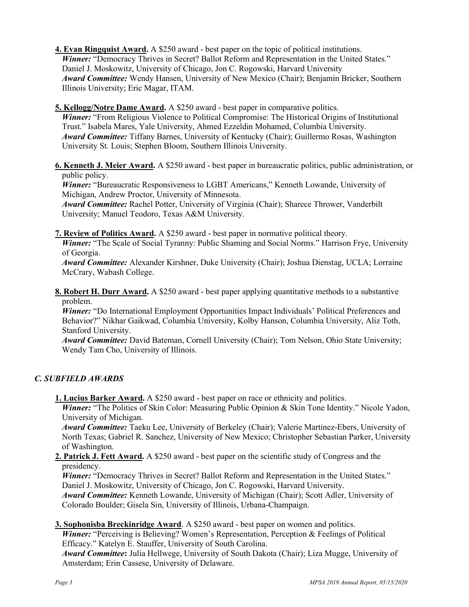- 4. Evan Ringquist Award. A \$250 award best paper on the topic of political institutions. Winner: "Democracy Thrives in Secret? Ballot Reform and Representation in the United States." Daniel J. Moskowitz, University of Chicago, Jon C. Rogowski, Harvard University Award Committee: Wendy Hansen, University of New Mexico (Chair); Benjamin Bricker, Southern Illinois University; Eric Magar, ITAM.
- 5. Kellogg/Notre Dame Award. A \$250 award best paper in comparative politics.

Winner: "From Religious Violence to Political Compromise: The Historical Origins of Institutional Trust." Isabela Mares, Yale University, Ahmed Ezzeldin Mohamed, Columbia University. Award Committee: Tiffany Barnes, University of Kentucky (Chair); Guillermo Rosas, Washington University St. Louis; Stephen Bloom, Southern Illinois University.

6. Kenneth J. Meier Award. A \$250 award - best paper in bureaucratic politics, public administration, or public policy.

Winner: "Bureaucratic Responsiveness to LGBT Americans," Kenneth Lowande, University of Michigan, Andrew Proctor, University of Minnesota.

Award Committee: Rachel Potter, University of Virginia (Chair); Sharece Thrower, Vanderbilt University; Manuel Teodoro, Texas A&M University.

7. Review of Politics Award. A \$250 award - best paper in normative political theory.

Winner: "The Scale of Social Tyranny: Public Shaming and Social Norms." Harrison Frye, University of Georgia.

Award Committee: Alexander Kirshner, Duke University (Chair); Joshua Dienstag, UCLA; Lorraine McCrary, Wabash College.

8. Robert H. Durr Award. A \$250 award - best paper applying quantitative methods to a substantive problem.

Winner: "Do International Employment Opportunities Impact Individuals' Political Preferences and Behavior?" Nikhar Gaikwad, Columbia University, Kolby Hanson, Columbia University, Aliz Toth, Stanford University.

**Award Committee:** David Bateman, Cornell University (Chair); Tom Nelson, Ohio State University; Wendy Tam Cho, University of Illinois.

# C. SUBFIELD AWARDS

1. Lucius Barker Award. A \$250 award - best paper on race or ethnicity and politics.

Winner: "The Politics of Skin Color: Measuring Public Opinion & Skin Tone Identity." Nicole Yadon, University of Michigan.

Award Committee: Taeku Lee, University of Berkeley (Chair); Valerie Martinez-Ebers, University of North Texas; Gabriel R. Sanchez, University of New Mexico; Christopher Sebastian Parker, University of Washington.

2. Patrick J. Fett Award. A \$250 award - best paper on the scientific study of Congress and the presidency.

Winner: "Democracy Thrives in Secret? Ballot Reform and Representation in the United States." Daniel J. Moskowitz, University of Chicago, Jon C. Rogowski, Harvard University.

Award Committee: Kenneth Lowande, University of Michigan (Chair); Scott Adler, University of Colorado Boulder; Gisela Sin, University of Illinois, Urbana-Champaign.

3. Sophonisba Breckinridge Award. A \$250 award - best paper on women and politics.

Winner: "Perceiving is Believing? Women's Representation, Perception & Feelings of Political Efficacy." Katelyn E. Stauffer, University of South Carolina.

Award Committee: Julia Hellwege, University of South Dakota (Chair); Liza Mugge, University of Amsterdam; Erin Cassese, University of Delaware.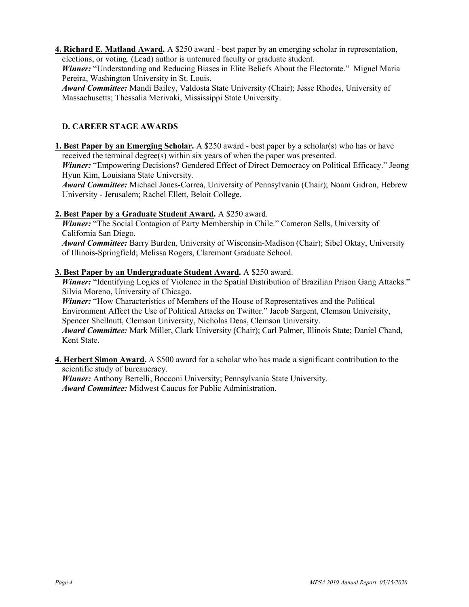4. Richard E. Matland Award. A \$250 award - best paper by an emerging scholar in representation, elections, or voting. (Lead) author is untenured faculty or graduate student.

Winner: "Understanding and Reducing Biases in Elite Beliefs About the Electorate." Miguel Maria Pereira, Washington University in St. Louis.

Award Committee: Mandi Bailey, Valdosta State University (Chair); Jesse Rhodes, University of Massachusetts; Thessalia Merivaki, Mississippi State University.

# D. CAREER STAGE AWARDS

1. Best Paper by an Emerging Scholar. A \$250 award - best paper by a scholar(s) who has or have received the terminal degree(s) within six years of when the paper was presented.

Winner: "Empowering Decisions? Gendered Effect of Direct Democracy on Political Efficacy." Jeong Hyun Kim, Louisiana State University.

Award Committee: Michael Jones-Correa, University of Pennsylvania (Chair); Noam Gidron, Hebrew University - Jerusalem; Rachel Ellett, Beloit College.

# 2. Best Paper by a Graduate Student Award. A \$250 award.

Winner: "The Social Contagion of Party Membership in Chile." Cameron Sells, University of California San Diego.

Award Committee: Barry Burden, University of Wisconsin-Madison (Chair); Sibel Oktay, University of Illinois-Springfield; Melissa Rogers, Claremont Graduate School.

# 3. Best Paper by an Undergraduate Student Award. A \$250 award.

Winner: "Identifying Logics of Violence in the Spatial Distribution of Brazilian Prison Gang Attacks." Silvia Moreno, University of Chicago.

Winner: "How Characteristics of Members of the House of Representatives and the Political Environment Affect the Use of Political Attacks on Twitter." Jacob Sargent, Clemson University, Spencer Shellnutt, Clemson University, Nicholas Deas, Clemson University.

Award Committee: Mark Miller, Clark University (Chair); Carl Palmer, Illinois State; Daniel Chand, Kent State.

4. Herbert Simon Award. A \$500 award for a scholar who has made a significant contribution to the scientific study of bureaucracy.

Winner: Anthony Bertelli, Bocconi University; Pennsylvania State University. Award Committee: Midwest Caucus for Public Administration.